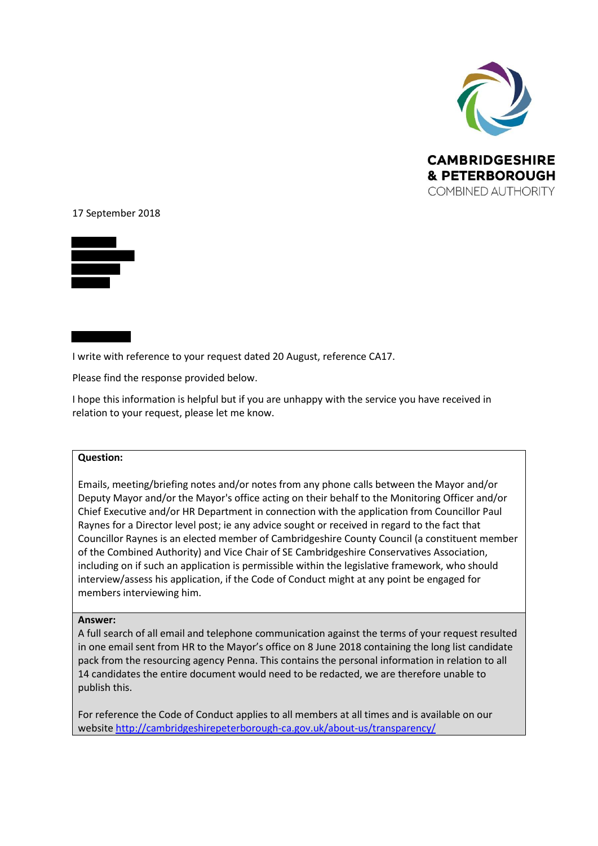

## 17 September 2018



I write with reference to your request dated 20 August, reference CA17.

Please find the response provided below.

I hope this information is helpful but if you are unhappy with the service you have received in relation to your request, please let me know.

## **Question:**

Emails, meeting/briefing notes and/or notes from any phone calls between the Mayor and/or Deputy Mayor and/or the Mayor's office acting on their behalf to the Monitoring Officer and/or Chief Executive and/or HR Department in connection with the application from Councillor Paul Raynes for a Director level post; ie any advice sought or received in regard to the fact that Councillor Raynes is an elected member of Cambridgeshire County Council (a constituent member of the Combined Authority) and Vice Chair of SE Cambridgeshire Conservatives Association, including on if such an application is permissible within the legislative framework, who should interview/assess his application, if the Code of Conduct might at any point be engaged for members interviewing him.

## **Answer:**

A full search of all email and telephone communication against the terms of your request resulted in one email sent from HR to the Mayor's office on 8 June 2018 containing the long list candidate pack from the resourcing agency Penna. This contains the personal information in relation to all 14 candidates the entire document would need to be redacted, we are therefore unable to publish this.

For reference the Code of Conduct applies to all members at all times and is available on our website<http://cambridgeshirepeterborough-ca.gov.uk/about-us/transparency/>